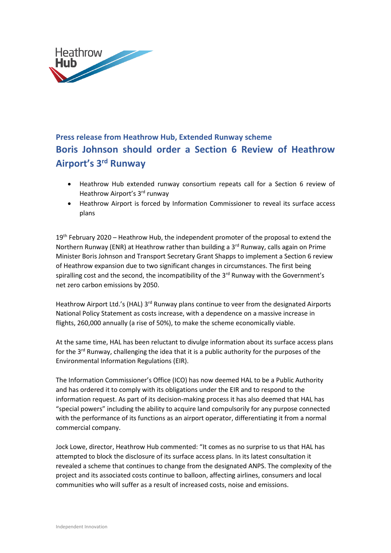

## **Press release from Heathrow Hub, Extended Runway scheme Boris Johnson should order a Section 6 Review of Heathrow Airport's 3rd Runway**

- Heathrow Hub extended runway consortium repeats call for a Section 6 review of Heathrow Airport's 3<sup>rd</sup> runway
- Heathrow Airport is forced by Information Commissioner to reveal its surface access plans

 $19<sup>th</sup>$  February 2020 – Heathrow Hub, the independent promoter of the proposal to extend the Northern Runway (ENR) at Heathrow rather than building a  $3<sup>rd</sup>$  Runway, calls again on Prime Minister Boris Johnson and Transport Secretary Grant Shapps to implement a Section 6 review of Heathrow expansion due to two significant changes in circumstances. The first being spiralling cost and the second, the incompatibility of the  $3<sup>rd</sup>$  Runway with the Government's net zero carbon emissions by 2050.

Heathrow Airport Ltd.'s (HAL) 3<sup>rd</sup> Runway plans continue to veer from the designated Airports National Policy Statement as costs increase, with a dependence on a massive increase in flights, 260,000 annually (a rise of 50%), to make the scheme economically viable.

At the same time, HAL has been reluctant to divulge information about its surface access plans for the 3<sup>rd</sup> Runway, challenging the idea that it is a public authority for the purposes of the Environmental Information Regulations (EIR).

The Information Commissioner's Office (ICO) has now deemed HAL to be a Public Authority and has ordered it to comply with its obligations under the EIR and to respond to the information request. As part of its decision-making process it has also deemed that HAL has "special powers" including the ability to acquire land compulsorily for any purpose connected with the performance of its functions as an airport operator, differentiating it from a normal commercial company.

Jock Lowe, director, Heathrow Hub commented: "It comes as no surprise to us that HAL has attempted to block the disclosure of its surface access plans. In its latest consultation it revealed a scheme that continues to change from the designated ANPS. The complexity of the project and its associated costs continue to balloon, affecting airlines, consumers and local communities who will suffer as a result of increased costs, noise and emissions.